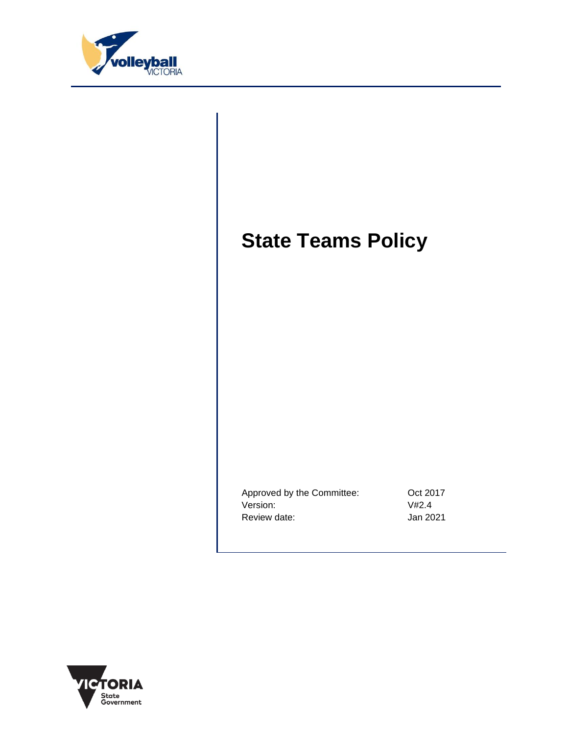

# **State Teams Policy**

Approved by the Committee: 0ct 2017 Version: V#2.4 Review date:  $Jan 2021$ 

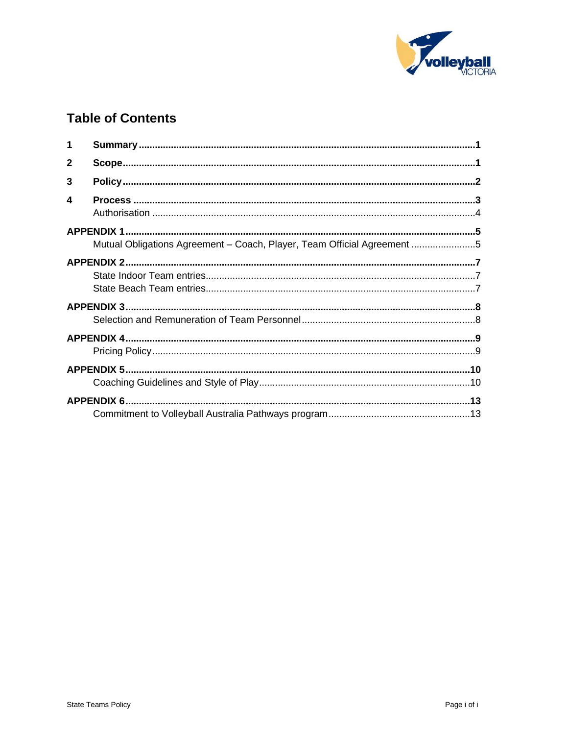

## **Table of Contents**

| 1            |                                                                         |  |  |  |
|--------------|-------------------------------------------------------------------------|--|--|--|
| $\mathbf{2}$ |                                                                         |  |  |  |
| 3            |                                                                         |  |  |  |
| 4            |                                                                         |  |  |  |
|              |                                                                         |  |  |  |
|              |                                                                         |  |  |  |
|              | Mutual Obligations Agreement - Coach, Player, Team Official Agreement 5 |  |  |  |
|              |                                                                         |  |  |  |
|              |                                                                         |  |  |  |
|              |                                                                         |  |  |  |
|              |                                                                         |  |  |  |
|              |                                                                         |  |  |  |
|              |                                                                         |  |  |  |
|              |                                                                         |  |  |  |
|              |                                                                         |  |  |  |
|              |                                                                         |  |  |  |
|              |                                                                         |  |  |  |
|              |                                                                         |  |  |  |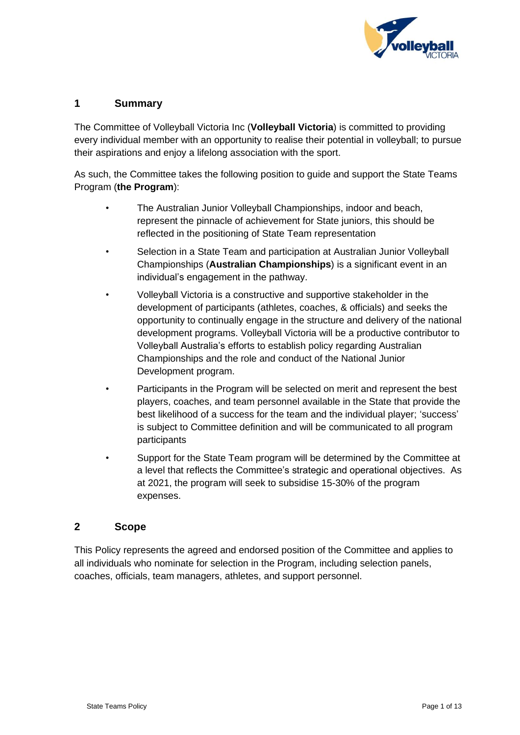

## <span id="page-2-0"></span>**1 Summary**

The Committee of Volleyball Victoria Inc (**Volleyball Victoria**) is committed to providing every individual member with an opportunity to realise their potential in volleyball; to pursue their aspirations and enjoy a lifelong association with the sport.

As such, the Committee takes the following position to guide and support the State Teams Program (**the Program**):

- The Australian Junior Volleyball Championships, indoor and beach, represent the pinnacle of achievement for State juniors, this should be reflected in the positioning of State Team representation
- Selection in a State Team and participation at Australian Junior Volleyball Championships (**Australian Championships**) is a significant event in an individual's engagement in the pathway.
- Volleyball Victoria is a constructive and supportive stakeholder in the development of participants (athletes, coaches, & officials) and seeks the opportunity to continually engage in the structure and delivery of the national development programs. Volleyball Victoria will be a productive contributor to Volleyball Australia's efforts to establish policy regarding Australian Championships and the role and conduct of the National Junior Development program.
- Participants in the Program will be selected on merit and represent the best players, coaches, and team personnel available in the State that provide the best likelihood of a success for the team and the individual player; 'success' is subject to Committee definition and will be communicated to all program participants
- <span id="page-2-1"></span>• Support for the State Team program will be determined by the Committee at a level that reflects the Committee's strategic and operational objectives. As at 2021, the program will seek to subsidise 15-30% of the program expenses.

## **2 Scope**

This Policy represents the agreed and endorsed position of the Committee and applies to all individuals who nominate for selection in the Program, including selection panels, coaches, officials, team managers, athletes, and support personnel.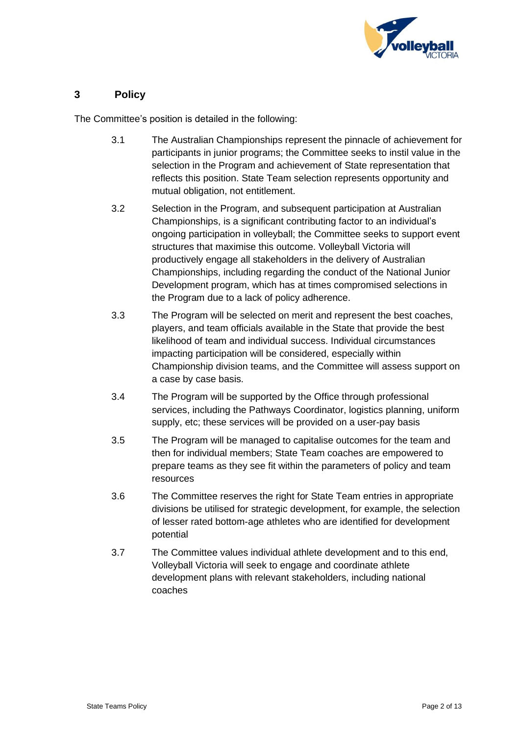

## <span id="page-3-0"></span>**3 Policy**

The Committee's position is detailed in the following:

- 3.1 The Australian Championships represent the pinnacle of achievement for participants in junior programs; the Committee seeks to instil value in the selection in the Program and achievement of State representation that reflects this position. State Team selection represents opportunity and mutual obligation, not entitlement.
- 3.2 Selection in the Program, and subsequent participation at Australian Championships, is a significant contributing factor to an individual's ongoing participation in volleyball; the Committee seeks to support event structures that maximise this outcome. Volleyball Victoria will productively engage all stakeholders in the delivery of Australian Championships, including regarding the conduct of the National Junior Development program, which has at times compromised selections in the Program due to a lack of policy adherence.
- 3.3 The Program will be selected on merit and represent the best coaches, players, and team officials available in the State that provide the best likelihood of team and individual success. Individual circumstances impacting participation will be considered, especially within Championship division teams, and the Committee will assess support on a case by case basis.
- 3.4 The Program will be supported by the Office through professional services, including the Pathways Coordinator, logistics planning, uniform supply, etc; these services will be provided on a user-pay basis
- 3.5 The Program will be managed to capitalise outcomes for the team and then for individual members; State Team coaches are empowered to prepare teams as they see fit within the parameters of policy and team resources
- 3.6 The Committee reserves the right for State Team entries in appropriate divisions be utilised for strategic development, for example, the selection of lesser rated bottom-age athletes who are identified for development potential
- 3.7 The Committee values individual athlete development and to this end, Volleyball Victoria will seek to engage and coordinate athlete development plans with relevant stakeholders, including national coaches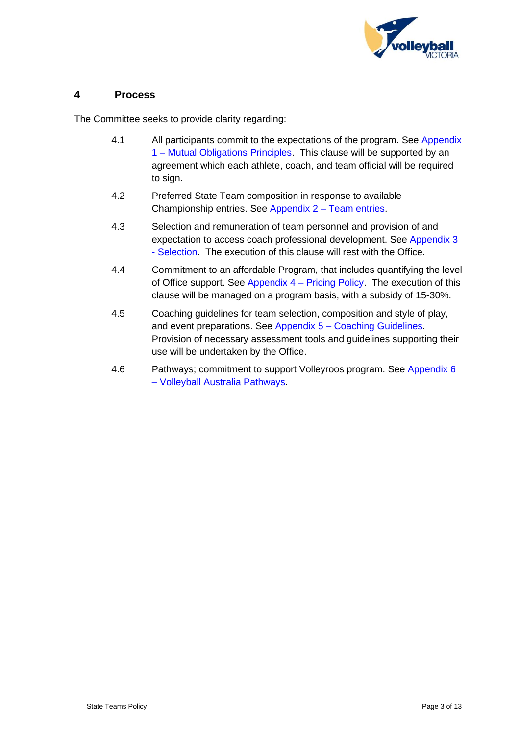

## <span id="page-4-0"></span>**4 Process**

The Committee seeks to provide clarity regarding:

- 4.1 All participants commit to the expectations of the program. See Appendix 1 – [Mutual Obligations Principles.](#page-6-2) This clause will be supported by an agreement which each athlete, coach, and team official will be required to sign.
- 4.2 Preferred State Team composition in response to available Championship entries. See Appendix 2 – [Team entries.](#page-8-3)
- 4.3 Selection and remuneration of team personnel and provision of and expectation to access coach professional development. See [Appendix 3](#page-9-2) - [Selection.](#page-9-2) The execution of this clause will rest with the Office.
- 4.4 Commitment to an affordable Program, that includes quantifying the level of Office support. See Appendix 4 – [Pricing Policy.](#page-10-2) The execution of this clause will be managed on a program basis, with a subsidy of 15-30%.
- 4.5 Coaching guidelines for team selection, composition and style of play, and event preparations. See Appendix 5 – [Coaching Guidelines.](#page-11-2) Provision of necessary assessment tools and guidelines supporting their use will be undertaken by the Office.
- 4.6 Pathways; commitment to support Volleyroos program. Se[e Appendix 6](#page-14-2) – [Volleyball Australia Pathways.](#page-14-2)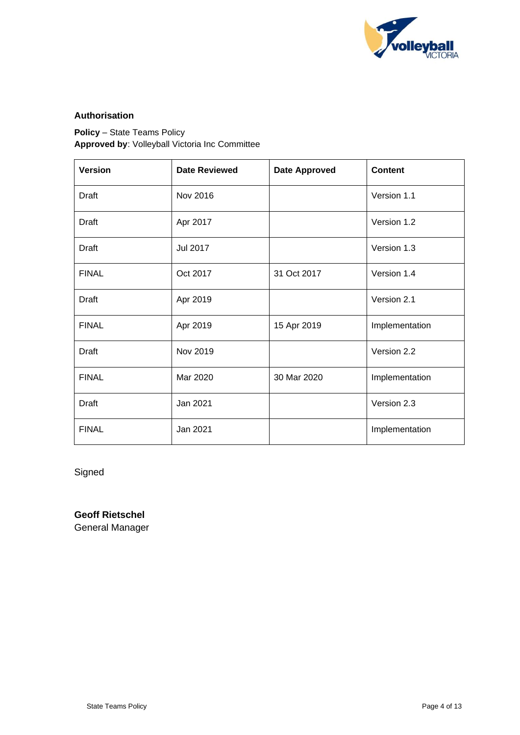

### <span id="page-5-0"></span>**Authorisation**

**Policy** – State Teams Policy **Approved by**: Volleyball Victoria Inc Committee

| <b>Version</b> | <b>Date Reviewed</b> | <b>Date Approved</b> | <b>Content</b> |
|----------------|----------------------|----------------------|----------------|
| Draft          | Nov 2016             |                      | Version 1.1    |
| <b>Draft</b>   | Apr 2017             |                      | Version 1.2    |
| <b>Draft</b>   | Jul 2017             |                      | Version 1.3    |
| <b>FINAL</b>   | Oct 2017             | 31 Oct 2017          | Version 1.4    |
| <b>Draft</b>   | Apr 2019             |                      | Version 2.1    |
| <b>FINAL</b>   | Apr 2019             | 15 Apr 2019          | Implementation |
| <b>Draft</b>   | Nov 2019             |                      | Version 2.2    |
| <b>FINAL</b>   | Mar 2020             | 30 Mar 2020          | Implementation |
| <b>Draft</b>   | Jan 2021             |                      | Version 2.3    |
| <b>FINAL</b>   | Jan 2021             |                      | Implementation |

Signed

**Geoff Rietschel** General Manager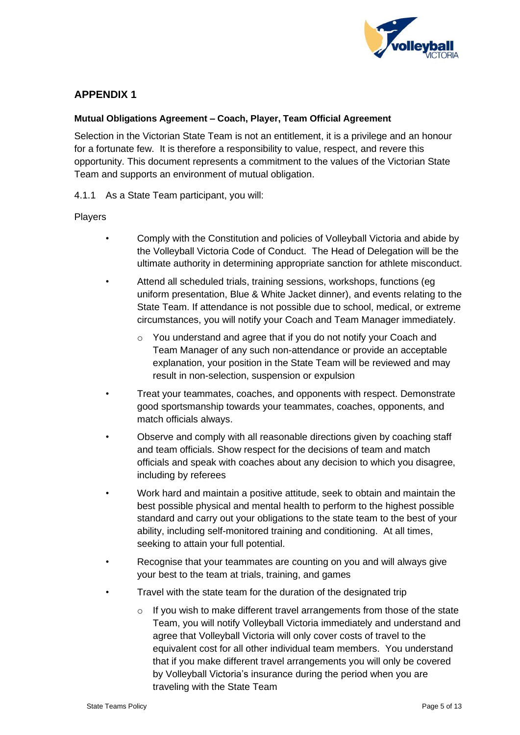

## <span id="page-6-2"></span><span id="page-6-1"></span><span id="page-6-0"></span>**Mutual Obligations Agreement – Coach, Player, Team Official Agreement**

Selection in the Victorian State Team is not an entitlement, it is a privilege and an honour for a fortunate few. It is therefore a responsibility to value, respect, and revere this opportunity. This document represents a commitment to the values of the Victorian State Team and supports an environment of mutual obligation.

4.1.1 As a State Team participant, you will:

## Players

- Comply with the Constitution and policies of Volleyball Victoria and abide by the Volleyball Victoria Code of Conduct. The Head of Delegation will be the ultimate authority in determining appropriate sanction for athlete misconduct.
- Attend all scheduled trials, training sessions, workshops, functions (eg uniform presentation, Blue & White Jacket dinner), and events relating to the State Team. If attendance is not possible due to school, medical, or extreme circumstances, you will notify your Coach and Team Manager immediately.
	- o You understand and agree that if you do not notify your Coach and Team Manager of any such non-attendance or provide an acceptable explanation, your position in the State Team will be reviewed and may result in non-selection, suspension or expulsion
- Treat your teammates, coaches, and opponents with respect. Demonstrate good sportsmanship towards your teammates, coaches, opponents, and match officials always.
- Observe and comply with all reasonable directions given by coaching staff and team officials. Show respect for the decisions of team and match officials and speak with coaches about any decision to which you disagree, including by referees
- Work hard and maintain a positive attitude, seek to obtain and maintain the best possible physical and mental health to perform to the highest possible standard and carry out your obligations to the state team to the best of your ability, including self-monitored training and conditioning. At all times, seeking to attain your full potential.
- Recognise that your teammates are counting on you and will always give your best to the team at trials, training, and games
- Travel with the state team for the duration of the designated trip
	- o If you wish to make different travel arrangements from those of the state Team, you will notify Volleyball Victoria immediately and understand and agree that Volleyball Victoria will only cover costs of travel to the equivalent cost for all other individual team members. You understand that if you make different travel arrangements you will only be covered by Volleyball Victoria's insurance during the period when you are traveling with the State Team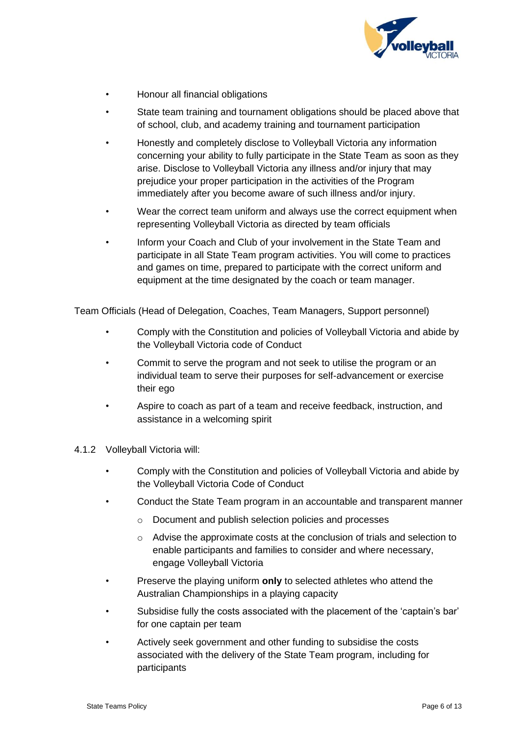

- Honour all financial obligations
- State team training and tournament obligations should be placed above that of school, club, and academy training and tournament participation
- Honestly and completely disclose to Volleyball Victoria any information concerning your ability to fully participate in the State Team as soon as they arise. Disclose to Volleyball Victoria any illness and/or injury that may prejudice your proper participation in the activities of the Program immediately after you become aware of such illness and/or injury.
- Wear the correct team uniform and always use the correct equipment when representing Volleyball Victoria as directed by team officials
- Inform your Coach and Club of your involvement in the State Team and participate in all State Team program activities. You will come to practices and games on time, prepared to participate with the correct uniform and equipment at the time designated by the coach or team manager.

Team Officials (Head of Delegation, Coaches, Team Managers, Support personnel)

- Comply with the Constitution and policies of Volleyball Victoria and abide by the Volleyball Victoria code of Conduct
- Commit to serve the program and not seek to utilise the program or an individual team to serve their purposes for self-advancement or exercise their ego
- Aspire to coach as part of a team and receive feedback, instruction, and assistance in a welcoming spirit
- 4.1.2 Volleyball Victoria will:
	- Comply with the Constitution and policies of Volleyball Victoria and abide by the Volleyball Victoria Code of Conduct
	- Conduct the State Team program in an accountable and transparent manner
		- o Document and publish selection policies and processes
		- o Advise the approximate costs at the conclusion of trials and selection to enable participants and families to consider and where necessary, engage Volleyball Victoria
	- Preserve the playing uniform **only** to selected athletes who attend the Australian Championships in a playing capacity
	- Subsidise fully the costs associated with the placement of the 'captain's bar' for one captain per team
	- Actively seek government and other funding to subsidise the costs associated with the delivery of the State Team program, including for participants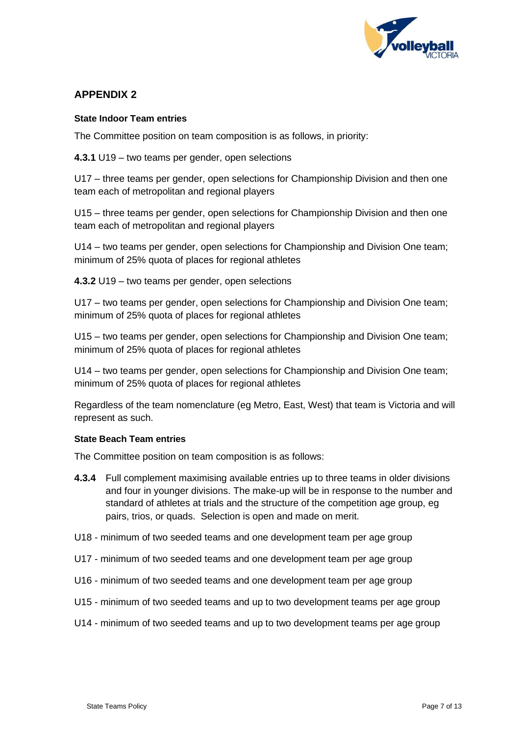

### <span id="page-8-3"></span><span id="page-8-1"></span><span id="page-8-0"></span>**State Indoor Team entries**

The Committee position on team composition is as follows, in priority:

**4.3.1** U19 – two teams per gender, open selections

U17 – three teams per gender, open selections for Championship Division and then one team each of metropolitan and regional players

U15 – three teams per gender, open selections for Championship Division and then one team each of metropolitan and regional players

U14 – two teams per gender, open selections for Championship and Division One team; minimum of 25% quota of places for regional athletes

**4.3.2** U19 – two teams per gender, open selections

U17 – two teams per gender, open selections for Championship and Division One team; minimum of 25% quota of places for regional athletes

U15 – two teams per gender, open selections for Championship and Division One team; minimum of 25% quota of places for regional athletes

U14 – two teams per gender, open selections for Championship and Division One team; minimum of 25% quota of places for regional athletes

<span id="page-8-2"></span>Regardless of the team nomenclature (eg Metro, East, West) that team is Victoria and will represent as such.

### **State Beach Team entries**

The Committee position on team composition is as follows:

- **4.3.4** Full complement maximising available entries up to three teams in older divisions and four in younger divisions. The make-up will be in response to the number and standard of athletes at trials and the structure of the competition age group, eg pairs, trios, or quads. Selection is open and made on merit.
- U18 minimum of two seeded teams and one development team per age group
- U17 minimum of two seeded teams and one development team per age group
- U16 minimum of two seeded teams and one development team per age group
- U15 minimum of two seeded teams and up to two development teams per age group
- U14 minimum of two seeded teams and up to two development teams per age group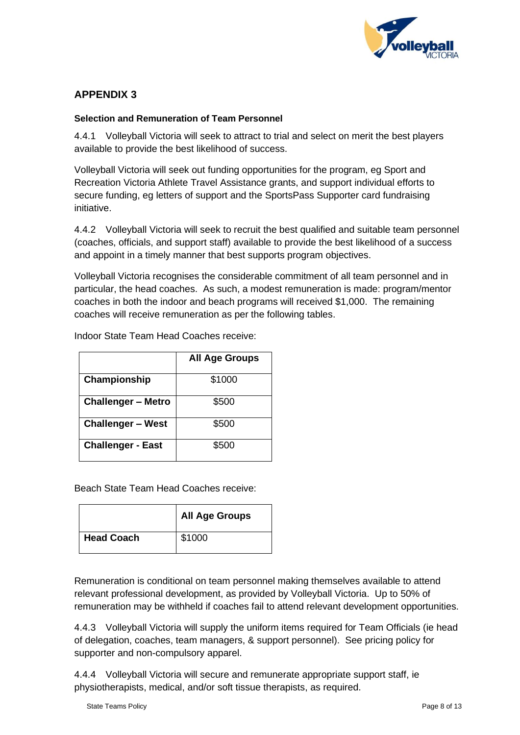

## <span id="page-9-2"></span><span id="page-9-1"></span><span id="page-9-0"></span>**Selection and Remuneration of Team Personnel**

4.4.1 Volleyball Victoria will seek to attract to trial and select on merit the best players available to provide the best likelihood of success.

Volleyball Victoria will seek out funding opportunities for the program, eg Sport and Recreation Victoria Athlete Travel Assistance grants, and support individual efforts to secure funding, eg letters of support and the SportsPass Supporter card fundraising initiative.

4.4.2 Volleyball Victoria will seek to recruit the best qualified and suitable team personnel (coaches, officials, and support staff) available to provide the best likelihood of a success and appoint in a timely manner that best supports program objectives.

Volleyball Victoria recognises the considerable commitment of all team personnel and in particular, the head coaches. As such, a modest remuneration is made: program/mentor coaches in both the indoor and beach programs will received \$1,000. The remaining coaches will receive remuneration as per the following tables.

|                           | <b>All Age Groups</b> |
|---------------------------|-----------------------|
| Championship              | \$1000                |
| <b>Challenger - Metro</b> | \$500                 |
| <b>Challenger - West</b>  | \$500                 |
| <b>Challenger - East</b>  | \$500                 |

Indoor State Team Head Coaches receive:

Beach State Team Head Coaches receive:

|                   | <b>All Age Groups</b> |
|-------------------|-----------------------|
| <b>Head Coach</b> | \$1000                |

Remuneration is conditional on team personnel making themselves available to attend relevant professional development, as provided by Volleyball Victoria. Up to 50% of remuneration may be withheld if coaches fail to attend relevant development opportunities.

4.4.3 Volleyball Victoria will supply the uniform items required for Team Officials (ie head of delegation, coaches, team managers, & support personnel). See pricing policy for supporter and non-compulsory apparel.

4.4.4 Volleyball Victoria will secure and remunerate appropriate support staff, ie physiotherapists, medical, and/or soft tissue therapists, as required.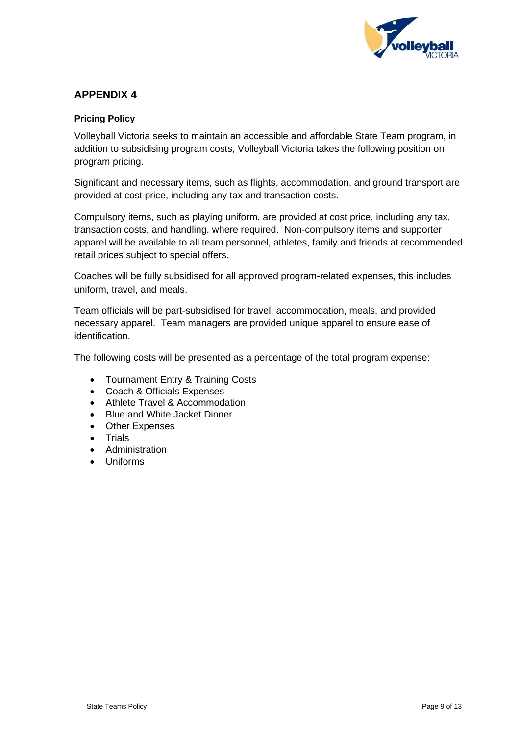

## <span id="page-10-2"></span><span id="page-10-1"></span><span id="page-10-0"></span>**Pricing Policy**

Volleyball Victoria seeks to maintain an accessible and affordable State Team program, in addition to subsidising program costs, Volleyball Victoria takes the following position on program pricing.

Significant and necessary items, such as flights, accommodation, and ground transport are provided at cost price, including any tax and transaction costs.

Compulsory items, such as playing uniform, are provided at cost price, including any tax, transaction costs, and handling, where required. Non-compulsory items and supporter apparel will be available to all team personnel, athletes, family and friends at recommended retail prices subject to special offers.

Coaches will be fully subsidised for all approved program-related expenses, this includes uniform, travel, and meals.

Team officials will be part-subsidised for travel, accommodation, meals, and provided necessary apparel. Team managers are provided unique apparel to ensure ease of identification.

The following costs will be presented as a percentage of the total program expense:

- Tournament Entry & Training Costs
- Coach & Officials Expenses
- Athlete Travel & Accommodation
- Blue and White Jacket Dinner
- Other Expenses
- Trials
- Administration
- Uniforms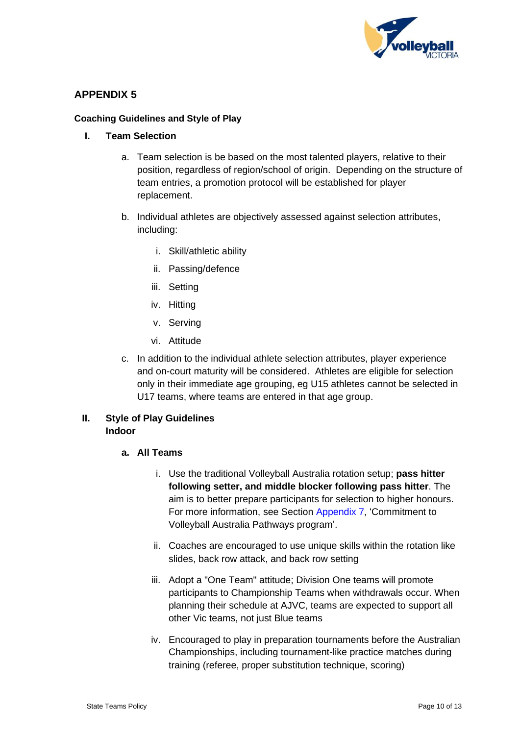

### <span id="page-11-2"></span><span id="page-11-1"></span><span id="page-11-0"></span>**Coaching Guidelines and Style of Play**

#### **I. Team Selection**

- a. Team selection is be based on the most talented players, relative to their position, regardless of region/school of origin. Depending on the structure of team entries, a promotion protocol will be established for player replacement.
- b. Individual athletes are objectively assessed against selection attributes, including:
	- i. Skill/athletic ability
	- ii. Passing/defence
	- iii. Setting
	- iv. Hitting
	- v. Serving
	- vi. Attitude
- c. In addition to the individual athlete selection attributes, player experience and on-court maturity will be considered. Athletes are eligible for selection only in their immediate age grouping, eg U15 athletes cannot be selected in U17 teams, where teams are entered in that age group.

## **II. Style of Play Guidelines Indoor**

### **a. All Teams**

- i. Use the traditional Volleyball Australia rotation setup; **pass hitter following setter, and middle blocker following pass hitter**. The aim is to better prepare participants for selection to higher honours. For more information, see Section Appendix 7, 'Commitment to Volleyball Australia Pathways program'.
- ii. Coaches are encouraged to use unique skills within the rotation like slides, back row attack, and back row setting
- iii. Adopt a "One Team" attitude; Division One teams will promote participants to Championship Teams when withdrawals occur. When planning their schedule at AJVC, teams are expected to support all other Vic teams, not just Blue teams
- iv. Encouraged to play in preparation tournaments before the Australian Championships, including tournament-like practice matches during training (referee, proper substitution technique, scoring)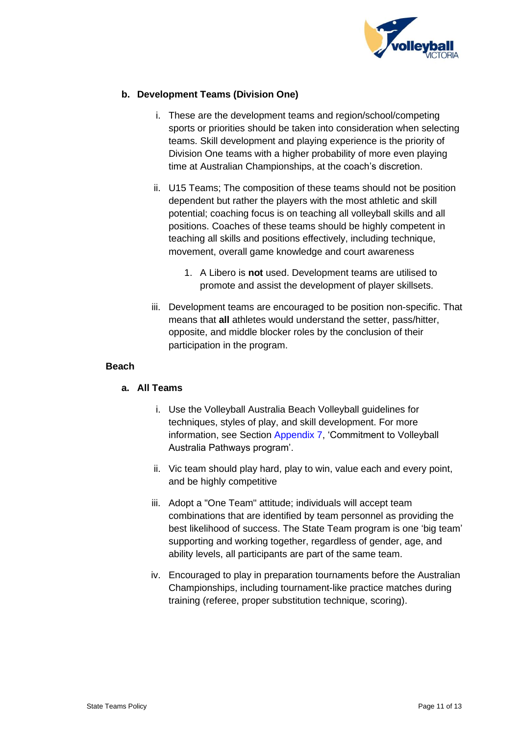

## **b. Development Teams (Division One)**

- i. These are the development teams and region/school/competing sports or priorities should be taken into consideration when selecting teams. Skill development and playing experience is the priority of Division One teams with a higher probability of more even playing time at Australian Championships, at the coach's discretion.
- ii. U15 Teams; The composition of these teams should not be position dependent but rather the players with the most athletic and skill potential; coaching focus is on teaching all volleyball skills and all positions. Coaches of these teams should be highly competent in teaching all skills and positions effectively, including technique, movement, overall game knowledge and court awareness
	- 1. A Libero is **not** used. Development teams are utilised to promote and assist the development of player skillsets.
- iii. Development teams are encouraged to be position non-specific. That means that **all** athletes would understand the setter, pass/hitter, opposite, and middle blocker roles by the conclusion of their participation in the program.

#### **Beach**

### **a. All Teams**

- i. Use the Volleyball Australia Beach Volleyball guidelines for techniques, styles of play, and skill development. For more information, see Section Appendix 7, 'Commitment to Volleyball Australia Pathways program'.
- ii. Vic team should play hard, play to win, value each and every point, and be highly competitive
- iii. Adopt a "One Team" attitude; individuals will accept team combinations that are identified by team personnel as providing the best likelihood of success. The State Team program is one 'big team' supporting and working together, regardless of gender, age, and ability levels, all participants are part of the same team.
- iv. Encouraged to play in preparation tournaments before the Australian Championships, including tournament-like practice matches during training (referee, proper substitution technique, scoring).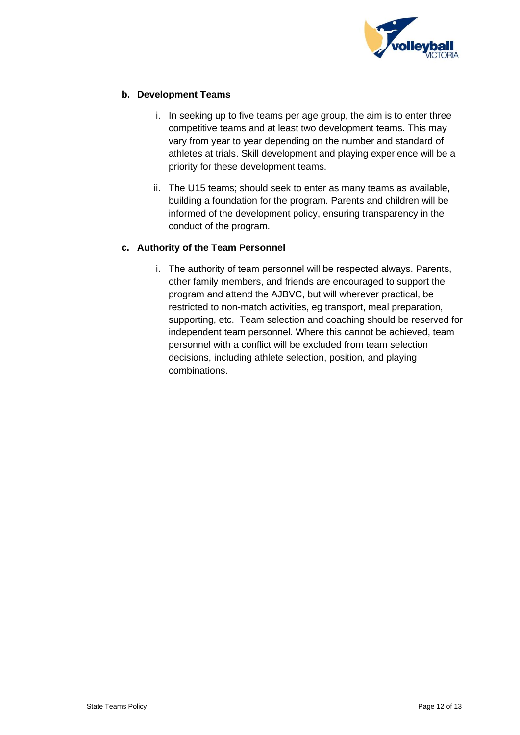

## **b. Development Teams**

- i. In seeking up to five teams per age group, the aim is to enter three competitive teams and at least two development teams. This may vary from year to year depending on the number and standard of athletes at trials. Skill development and playing experience will be a priority for these development teams.
- ii. The U15 teams; should seek to enter as many teams as available, building a foundation for the program. Parents and children will be informed of the development policy, ensuring transparency in the conduct of the program.

## **c. Authority of the Team Personnel**

i. The authority of team personnel will be respected always. Parents, other family members, and friends are encouraged to support the program and attend the AJBVC, but will wherever practical, be restricted to non-match activities, eg transport, meal preparation, supporting, etc. Team selection and coaching should be reserved for independent team personnel. Where this cannot be achieved, team personnel with a conflict will be excluded from team selection decisions, including athlete selection, position, and playing combinations.